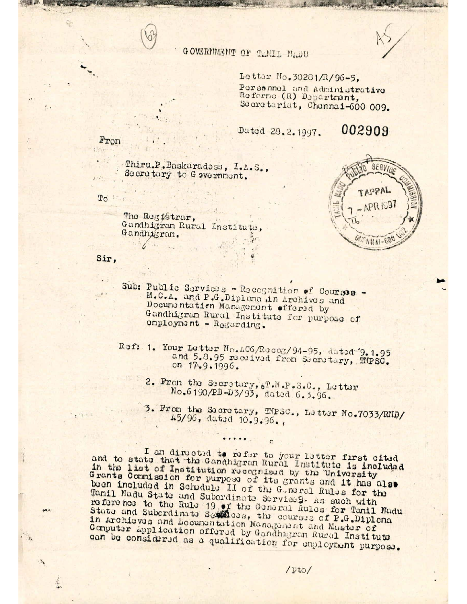## GOVERNMENT OF TAMIL NADU

Letter No. 30281/R/96-5, Persennel and Administrative Referns (R) Department, Secretariat, Chennai-600 009.

Dated 28.2.1997.

002909

Thiru.P.Baskaradoss, I.A.S., Secretary to G avernment.

To

The Registrar, Gandhigram Rural Institute, Gandhigram.



Sir,

- Sub: Public Services Recognition of Courses -M.C.A. and P.G.Diplona in Archives and Documentation Management offered by Gandhigran Rural Institute for purpose of employment - Regarding.
- Ref: 1. Your Letter No.AC6/Recog/94-95, dated 9.1.95 and 5.8.95 received from Secretary, IMPSC. on 17.9.1996.
	- 2. From the Secretury, &T.M.P.S.C., Letter No.6190/PD-D3/93, dated 6.3.96.
	- 3. From the Secretary, TMPSC., Letter No.7033/RND/ 45/96, dated 10.9.96.

I an directed to refer to your letter first cited and to state that the Gandhigran Rural Institute is included in the list of Institution recognised by the University Grants Commission for purpose of its grants and it has also been included in Schedule II of the Gomeral Rules for the Tanil Nadu State and Subordinate Service 9. As such with reference to the Rule 19 of the General Rules for Tanil Madu State and Subcrdinate Settless, the courses of P.G.Diplena in Archieves and Documentation Management and Master of Computer application offered by Gandhigram Rucal Institute can be considered as a qualification for employment purpose.